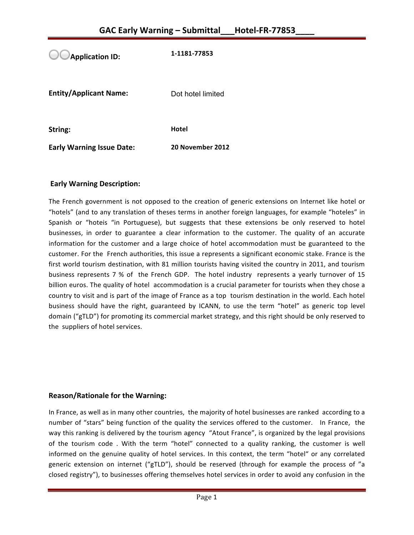**Application ID:** 1-1181-77853 **Entity/Applicant Name:** Dot hotel limited

**String: Hotel** 

**Early Warning Issue Date:** 20 November 2012

## **Early Warning Description:**

The French government is not opposed to the creation of generic extensions on Internet like hotel or "hotels" (and to any translation of theses terms in another foreign languages, for example "hoteles" in Spanish or "hoteis "in Portuguese), but suggests that these extensions be only reserved to hotel businesses, in order to guarantee a clear information to the customer. The quality of an accurate information for the customer and a large choice of hotel accommodation must be guaranteed to the customer. For the French authorities, this issue a represents a significant economic stake. France is the first world tourism destination, with 81 million tourists having visited the country in 2011, and tourism business represents 7 % of the French GDP. The hotel industry represents a yearly turnover of 15 billion euros. The quality of hotel accommodation is a crucial parameter for tourists when they chose a country to visit and is part of the image of France as a top tourism destination in the world. Each hotel business should have the right, guaranteed by ICANN, to use the term "hotel" as generic top level domain ("gTLD") for promoting its commercial market strategy, and this right should be only reserved to the suppliers of hotel services.

### **Reason/Rationale for the Warning:**

In France, as well as in many other countries, the majority of hotel businesses are ranked according to a number of "stars" being function of the quality the services offered to the customer. In France, the way this ranking is delivered by the tourism agency "Atout France", is organized by the legal provisions of the tourism code . With the term "hotel" connected to a quality ranking, the customer is well informed on the genuine quality of hotel services. In this context, the term "hotel" or any correlated generic extension on internet ("gTLD"), should be reserved (through for example the process of "a closed registry"), to businesses offering themselves hotel services in order to avoid any confusion in the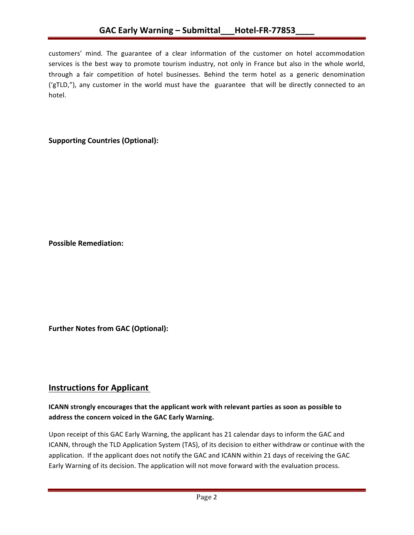customers' mind. The guarantee of a clear information of the customer on hotel accommodation services is the best way to promote tourism industry, not only in France but also in the whole world, through a fair competition of hotel businesses. Behind the term hotel as a generic denomination ('gTLD,"), any customer in the world must have the guarantee that will be directly connected to an hotel. 

## **Supporting Countries (Optional):**

**Possible Remediation:**

**Further Notes from GAC (Optional):** 

## **Instructions for Applicant**

## **ICANN** strongly encourages that the applicant work with relevant parties as soon as possible to address the concern voiced in the GAC Early Warning.

Upon receipt of this GAC Early Warning, the applicant has 21 calendar days to inform the GAC and ICANN, through the TLD Application System (TAS), of its decision to either withdraw or continue with the application. If the applicant does not notify the GAC and ICANN within 21 days of receiving the GAC Early Warning of its decision. The application will not move forward with the evaluation process.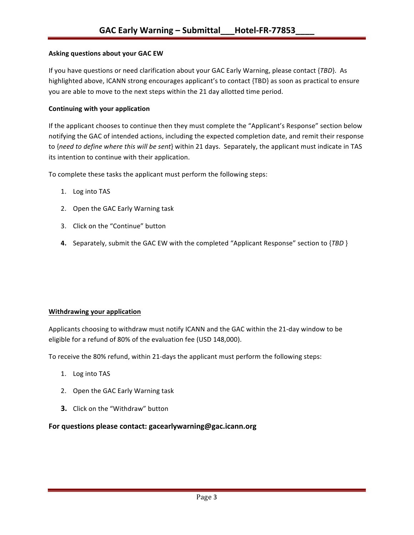#### **Asking questions about your GAC EW**

If you have questions or need clarification about your GAC Early Warning, please contact {*TBD*}. As highlighted above, ICANN strong encourages applicant's to contact {TBD} as soon as practical to ensure you are able to move to the next steps within the 21 day allotted time period.

#### **Continuing with your application**

If the applicant chooses to continue then they must complete the "Applicant's Response" section below notifying the GAC of intended actions, including the expected completion date, and remit their response to {need to define where this will be sent} within 21 days. Separately, the applicant must indicate in TAS its intention to continue with their application.

To complete these tasks the applicant must perform the following steps:

- 1. Log into TAS
- 2. Open the GAC Early Warning task
- 3. Click on the "Continue" button
- **4.** Separately, submit the GAC EW with the completed "Applicant Response" section to {*TBD* }

#### **Withdrawing your application**

Applicants choosing to withdraw must notify ICANN and the GAC within the 21-day window to be eligible for a refund of 80% of the evaluation fee (USD 148,000).

To receive the 80% refund, within 21-days the applicant must perform the following steps:

- 1. Log into TAS
- 2. Open the GAC Early Warning task
- **3.** Click on the "Withdraw" button

#### For questions please contact: gacearlywarning@gac.icann.org